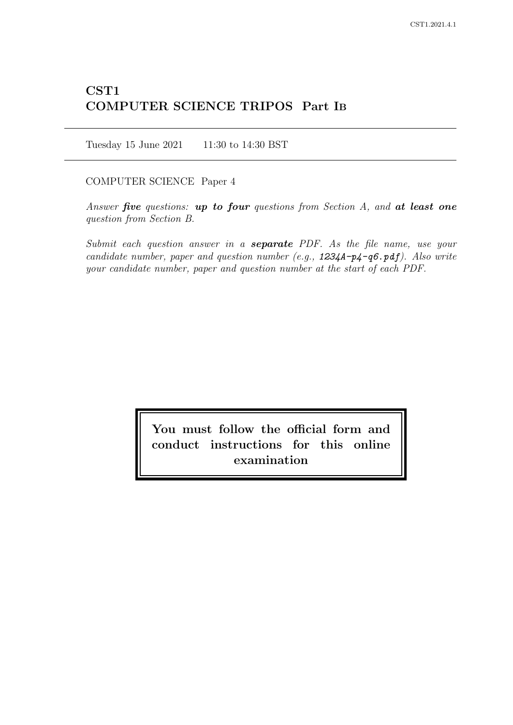# CST1 COMPUTER SCIENCE TRIPOS Part IB

Tuesday 15 June 2021 11:30 to 14:30 BST

COMPUTER SCIENCE Paper 4

Answer five questions: up to four questions from Section  $A$ , and at least one question from Section B.

Submit each question answer in a **separate** PDF. As the file name, use your candidate number, paper and question number (e.g.,  $1234A-p4-q6.pdf$ ). Also write your candidate number, paper and question number at the start of each PDF.

> You must follow the official form and conduct instructions for this online examination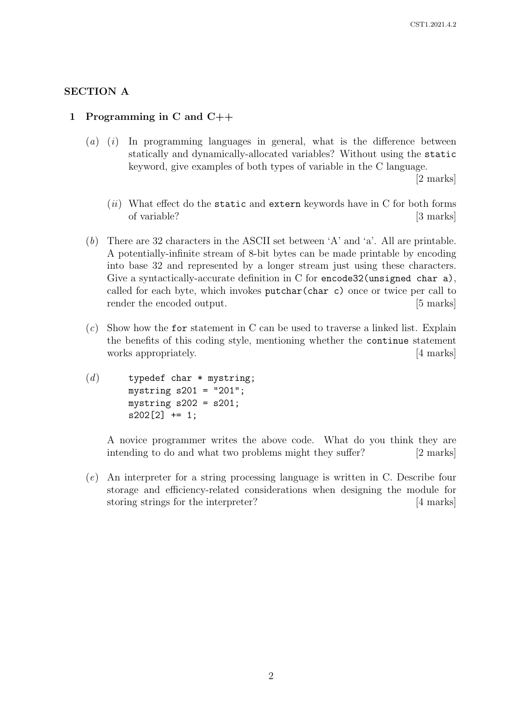# SECTION A

# 1 Programming in C and C++

 $(a)$  (i) In programming languages in general, what is the difference between statically and dynamically-allocated variables? Without using the static keyword, give examples of both types of variable in the C language.

[2 marks]

- $(iii)$  What effect do the static and extern keywords have in C for both forms of variable? [3 marks]
- (b) There are 32 characters in the ASCII set between 'A' and 'a'. All are printable. A potentially-infinite stream of 8-bit bytes can be made printable by encoding into base 32 and represented by a longer stream just using these characters. Give a syntactically-accurate definition in C for encode32(unsigned char a), called for each byte, which invokes putchar(char c) once or twice per call to render the encoded output. [5 marks]
- $(c)$  Show how the for statement in C can be used to traverse a linked list. Explain the benefits of this coding style, mentioning whether the continue statement works appropriately. [4 marks]
- $(d)$  typedef char \* mystring; mystring s201 = "201"; mystring  $s202 = s201$ ; s202[2] += 1;

A novice programmer writes the above code. What do you think they are intending to do and what two problems might they suffer? [2 marks]

(e) An interpreter for a string processing language is written in C. Describe four storage and efficiency-related considerations when designing the module for storing strings for the interpreter? [4 marks]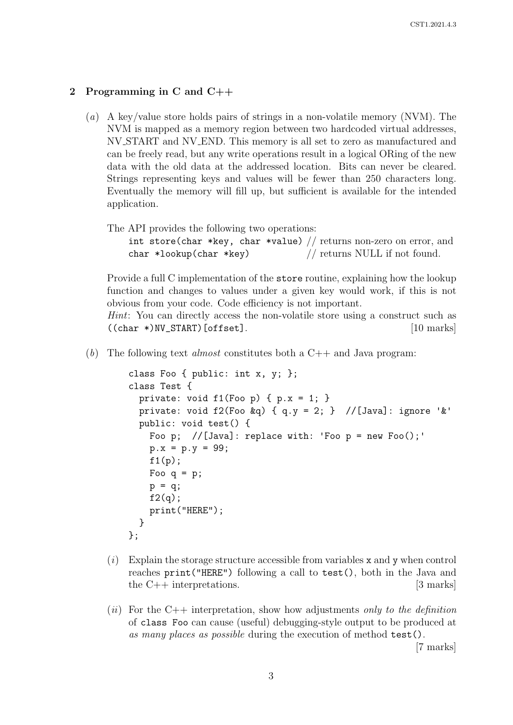## 2 Programming in C and C++

- (a) A key/value store holds pairs of strings in a non-volatile memory (NVM). The NVM is mapped as a memory region between two hardcoded virtual addresses, NV START and NV END. This memory is all set to zero as manufactured and can be freely read, but any write operations result in a logical ORing of the new data with the old data at the addressed location. Bits can never be cleared. Strings representing keys and values will be fewer than 250 characters long. Eventually the memory will fill up, but sufficient is available for the intended application.
	- The API provides the following two operations:

|                         | int store (char *key, char *value) // returns non-zero on error, and |
|-------------------------|----------------------------------------------------------------------|
| char *lookup(char *key) | $\frac{1}{\sqrt{2}}$ returns NULL if not found.                      |

Provide a full C implementation of the store routine, explaining how the lookup function and changes to values under a given key would work, if this is not obvious from your code. Code efficiency is not important.

Hint: You can directly access the non-volatile store using a construct such as  $((char *)NV\_START) [offset].$  [10 marks]

(b) The following text *almost* constitutes both a  $C_{++}$  and Java program:

```
class Foo { public: int x, y; };
class Test {
  private: void f1(Foo p) { p.x = 1; }
  private: void f2(Foo & q) { q.y = 2; } //[Java]: ignore '&'
  public: void test() {
    Foo p; //[Java]: replace with: 'Foo p = new Foo();'
    p.x = p.y = 99;f1(p);
    Foo q = p;
    p = q;f2(q);
    print("HERE");
  }
};
```
- $(i)$  Explain the storage structure accessible from variables x and y when control reaches print("HERE") following a call to test(), both in the Java and the C++ interpretations. [3 marks]
- (ii) For the C++ interpretation, show how adjustments only to the definition of class Foo can cause (useful) debugging-style output to be produced at as many places as possible during the execution of method test().

[7 marks]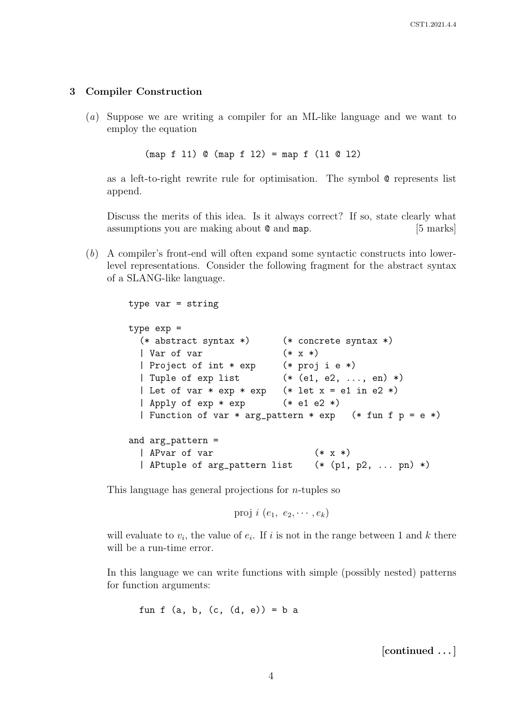# 3 Compiler Construction

(a) Suppose we are writing a compiler for an ML-like language and we want to employ the equation

(map f l1) @ (map f l2) = map f (l1 @ l2)

as a left-to-right rewrite rule for optimisation. The symbol @ represents list append.

Discuss the merits of this idea. Is it always correct? If so, state clearly what assumptions you are making about  $\mathcal Q$  and map. [5 marks]

(b) A compiler's front-end will often expand some syntactic constructs into lowerlevel representations. Consider the following fragment for the abstract syntax of a SLANG-like language.

```
type var = string
type exp =
  (* abstract syntax *) (* concrete syntax *)
  | Var of var (* x *)
  | Project of int * exp (* proj i e *)
  | Tuple of exp list (* (e1, e2, ..., en) *)
  | Let of var * exp * exp (* let x = e1 in e2 *)
  | Apply of \exp * \exp (* e1 e2 *)
  | Function of var * arg_pattern * exp (* fun f p = e *)
and arg_pattern =
  | APvar of var (*)<br>| APtuple of arg_pattern list (*) (p1, p2, ... pn) *)
  | APtuple of arg_pattern list
```
This language has general projections for  $n$ -tuples so

proj  $i$   $(e_1, e_2, \cdots, e_k)$ 

will evaluate to  $v_i$ , the value of  $e_i$ . If i is not in the range between 1 and k there will be a run-time error.

In this language we can write functions with simple (possibly nested) patterns for function arguments:

```
fun f (a, b, (c, (d, e)) = b a
```
[continued . . . ]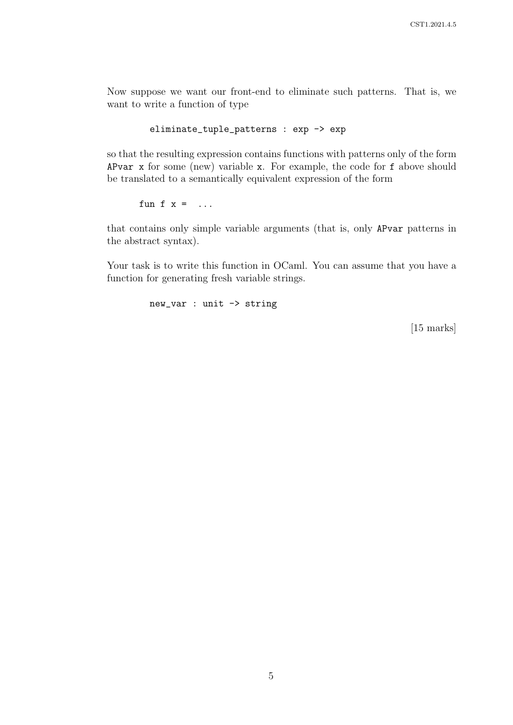Now suppose we want our front-end to eliminate such patterns. That is, we want to write a function of type

eliminate\_tuple\_patterns : exp -> exp

so that the resulting expression contains functions with patterns only of the form APvar x for some (new) variable x. For example, the code for f above should be translated to a semantically equivalent expression of the form

fun f  $x = ...$ 

that contains only simple variable arguments (that is, only APvar patterns in the abstract syntax).

Your task is to write this function in OCaml. You can assume that you have a function for generating fresh variable strings.

new\_var : unit -> string

[15 marks]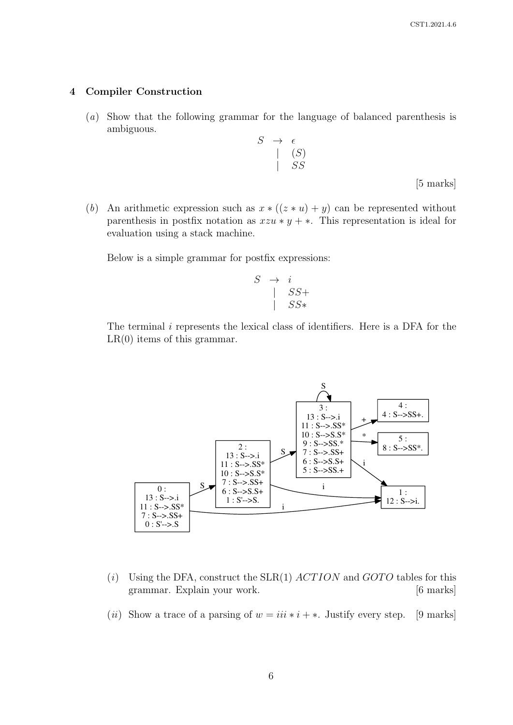## 4 Compiler Construction

- (a) Show that the following grammar for the language of balanced parenthesis is ambiguous.
	- $S \rightarrow \epsilon$  $| (S)$ | SS

[5 marks]

(b) An arithmetic expression such as  $x * ((z * u) + y)$  can be represented without parenthesis in postfix notation as  $xzu*y+*.$  This representation is ideal for evaluation using a stack machine.

Below is a simple grammar for postfix expressions:

$$
\begin{array}{ccc}\nS & \rightarrow & i \\
 & | & SS+ \\
 & & SS*\n\end{array}
$$

The terminal i represents the lexical class of identifiers. Here is a DFA for the  $LR(0)$  items of this grammar.



- (i) Using the DFA, construct the SLR(1)  $ACTION$  and  $GOTO$  tables for this grammar. Explain your work. [6 marks]
- (ii) Show a trace of a parsing of  $w = iii * i + *$ . Justify every step. [9 marks]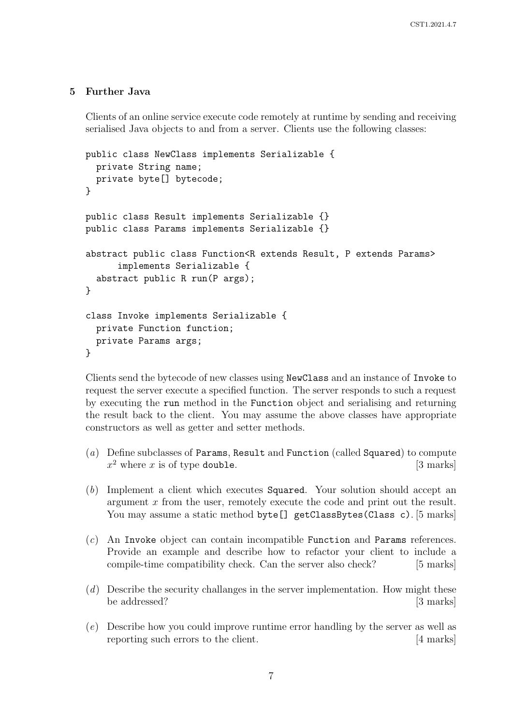# 5 Further Java

Clients of an online service execute code remotely at runtime by sending and receiving serialised Java objects to and from a server. Clients use the following classes:

```
public class NewClass implements Serializable {
  private String name;
  private byte[] bytecode;
}
public class Result implements Serializable {}
public class Params implements Serializable {}
abstract public class Function<R extends Result, P extends Params>
      implements Serializable {
  abstract public R run(P args);
}
class Invoke implements Serializable {
  private Function function;
  private Params args;
}
```
Clients send the bytecode of new classes using NewClass and an instance of Invoke to request the server execute a specified function. The server responds to such a request by executing the run method in the Function object and serialising and returning the result back to the client. You may assume the above classes have appropriate constructors as well as getter and setter methods.

- (a) Define subclasses of Params, Result and Function (called Squared) to compute  $x^2$  where x is of type double. [3 marks]
- (b) Implement a client which executes Squared. Your solution should accept an argument x from the user, remotely execute the code and print out the result. You may assume a static method byte[] getClassBytes(Class c). [5 marks]
- (c) An Invoke object can contain incompatible Function and Params references. Provide an example and describe how to refactor your client to include a compile-time compatibility check. Can the server also check? [5 marks]
- $(d)$  Describe the security challanges in the server implementation. How might these be addressed? [3 marks]
- (e) Describe how you could improve runtime error handling by the server as well as reporting such errors to the client. [4 marks]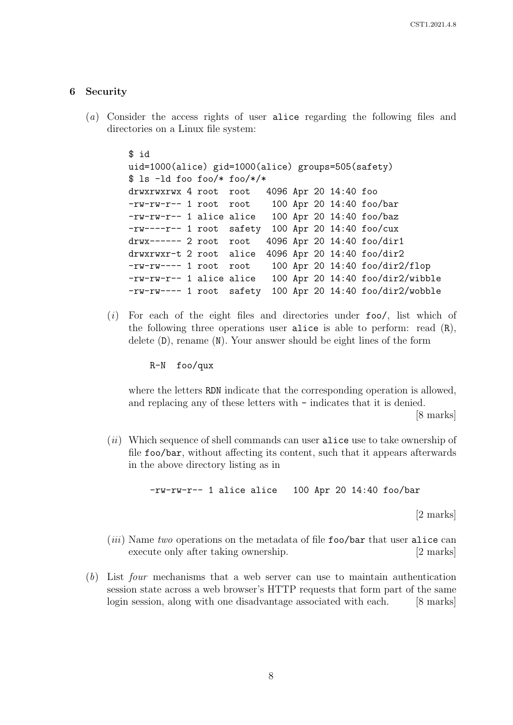#### 6 Security

(a) Consider the access rights of user alice regarding the following files and directories on a Linux file system:

```
$ id
uid=1000(alice) gid=1000(alice) groups=505(safety)
$ ls -ld foo foo/* foo/*/*
drwxrwxrwx 4 root root 4096 Apr 20 14:40 foo
-rw-rw-r-- 1 root root 100 Apr 20 14:40 foo/bar
-rw-rw-r-- 1 alice alice 100 Apr 20 14:40 foo/baz
-rw----r-- 1 root safety 100 Apr 20 14:40 foo/cux
drwx------ 2 root root 4096 Apr 20 14:40 foo/dir1
drwxrwxr-t 2 root alice 4096 Apr 20 14:40 foo/dir2
-rw-rw---- 1 root root 100 Apr 20 14:40 foo/dir2/flop
-rw-rw-r-- 1 alice alice 100 Apr 20 14:40 foo/dir2/wibble
-rw-rw---- 1 root safety 100 Apr 20 14:40 foo/dir2/wobble
```
(i) For each of the eight files and directories under foo/, list which of the following three operations user alice is able to perform: read  $(R)$ , delete (D), rename (N). Your answer should be eight lines of the form

R-N foo/qux

where the letters RDN indicate that the corresponding operation is allowed, and replacing any of these letters with - indicates that it is denied.

[8 marks]

 $(ii)$  Which sequence of shell commands can user alice use to take ownership of file foo/bar, without affecting its content, such that it appears afterwards in the above directory listing as in

-rw-rw-r-- 1 alice alice 100 Apr 20 14:40 foo/bar

[2 marks]

- $(iii)$  Name two operations on the metadata of file foo/bar that user alice can execute only after taking ownership. [2 marks]
- (b) List four mechanisms that a web server can use to maintain authentication session state across a web browser's HTTP requests that form part of the same login session, along with one disadvantage associated with each. [8 marks]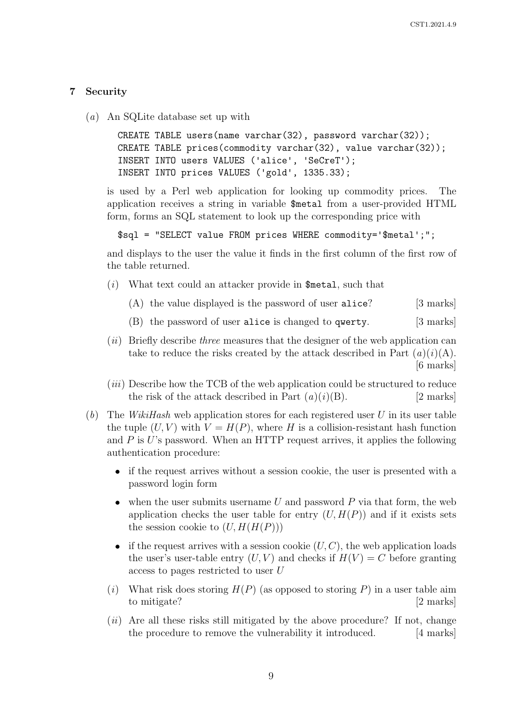## 7 Security

(a) An SQLite database set up with

```
CREATE TABLE users(name varchar(32), password varchar(32));
CREATE TABLE prices(commodity varchar(32), value varchar(32));
INSERT INTO users VALUES ('alice', 'SeCreT');
INSERT INTO prices VALUES ('gold', 1335.33);
```
is used by a Perl web application for looking up commodity prices. The application receives a string in variable \$metal from a user-provided HTML form, forms an SQL statement to look up the corresponding price with

```
$sql = "SELECT value FROM prices WHERE commodity='$metal';";
```
and displays to the user the value it finds in the first column of the first row of the table returned.

- $(i)$  What text could an attacker provide in \$metal, such that
	- (A) the value displayed is the password of user alice? [3 marks]
	- (B) the password of user alice is changed to qwerty. [3 marks]
- $(ii)$  Briefly describe *three* measures that the designer of the web application can take to reduce the risks created by the attack described in Part  $(a)(i)(A)$ . [6 marks]
- $(iii)$  Describe how the TCB of the web application could be structured to reduce the risk of the attack described in Part  $(a)(i)(B)$ . [2 marks]
- (b) The WikiHash web application stores for each registered user U in its user table the tuple  $(U, V)$  with  $V = H(P)$ , where H is a collision-resistant hash function and  $P$  is U's password. When an HTTP request arrives, it applies the following authentication procedure:
	- if the request arrives without a session cookie, the user is presented with a password login form
	- when the user submits username  $U$  and password  $P$  via that form, the web application checks the user table for entry  $(U, H(P))$  and if it exists sets the session cookie to  $(U, H(H(P)))$
	- if the request arrives with a session cookie  $(U, C)$ , the web application loads the user's user-table entry  $(U, V)$  and checks if  $H(V) = C$  before granting access to pages restricted to user U
	- (i) What risk does storing  $H(P)$  (as opposed to storing P) in a user table aim to mitigate? [2 marks]
	- $(ii)$  Are all these risks still mitigated by the above procedure? If not, change the procedure to remove the vulnerability it introduced. [4 marks]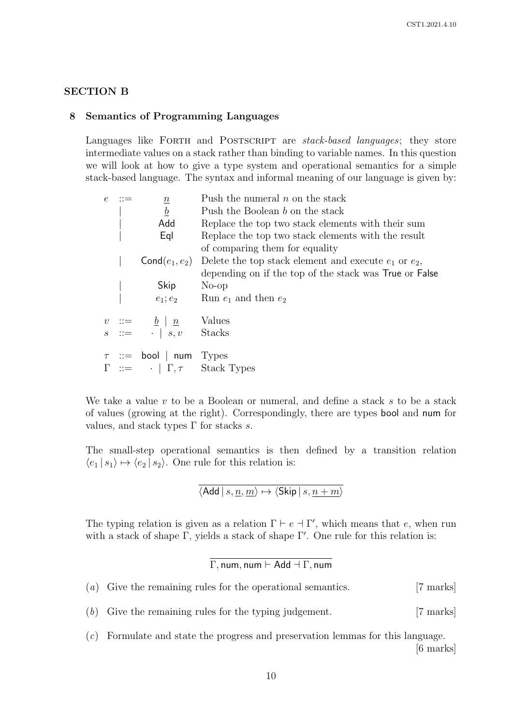## SECTION B

#### 8 Semantics of Programming Languages

Languages like FORTH and POSTSCRIPT are stack-based languages; they store intermediate values on a stack rather than binding to variable names. In this question we will look at how to give a type system and operational semantics for a simple stack-based language. The syntax and informal meaning of our language is given by:

| $e \nightharpoonup :=$ | $\underline{n}$                                                                         | Push the numeral $n$ on the stack                         |
|------------------------|-----------------------------------------------------------------------------------------|-----------------------------------------------------------|
|                        | $\boldsymbol{b}$                                                                        | Push the Boolean b on the stack                           |
|                        | Add                                                                                     | Replace the top two stack elements with their sum         |
|                        | Eql                                                                                     | Replace the top two stack elements with the result        |
|                        |                                                                                         | of comparing them for equality                            |
|                        | $\mathsf{Cond}(e_1,e_2)$                                                                | Delete the top stack element and execute $e_1$ or $e_2$ , |
|                        |                                                                                         | depending on if the top of the stack was True or False    |
|                        |                                                                                         |                                                           |
|                        |                                                                                         | Skip No-op<br>$e_1; e_2$ Run $e_1$ and then $e_2$         |
|                        |                                                                                         |                                                           |
|                        | $v ::= \underline{b}   \underline{n}$ Values<br>$s ::= \underline{\cdot}   s, v$ Stacks |                                                           |
|                        | $\tau$ ::= bool   num Types                                                             |                                                           |
|                        |                                                                                         |                                                           |
|                        |                                                                                         | $\Gamma$ ::= $\cdot$   $\Gamma$ , $\tau$ Stack Types      |

We take a value  $v$  to be a Boolean or numeral, and define a stack  $s$  to be a stack of values (growing at the right). Correspondingly, there are types bool and num for values, and stack types  $\Gamma$  for stacks s.

The small-step operational semantics is then defined by a transition relation  $\langle e_1 | s_1 \rangle \mapsto \langle e_2 | s_2 \rangle$ . One rule for this relation is:

$$
\overline{\langle \mathsf{Add} \, | \, s, \underline{n}, \underline{m} \rangle \mapsto \langle \mathsf{Skip} \, | \, s, \underline{n+m} \rangle}
$$

The typing relation is given as a relation  $\Gamma \vdash e \vdash \Gamma'$ , which means that e, when run with a stack of shape  $\Gamma$ , yields a stack of shape  $\Gamma'$ . One rule for this relation is:

$$
\Gamma, \mathsf{num}, \mathsf{num} \vdash \mathsf{Add} \dashv \Gamma, \mathsf{num}
$$

- (a) Give the remaining rules for the operational semantics. [7 marks]
- (b) Give the remaining rules for the typing judgement. [7 marks]
- (c) Formulate and state the progress and preservation lemmas for this language. [6 marks]